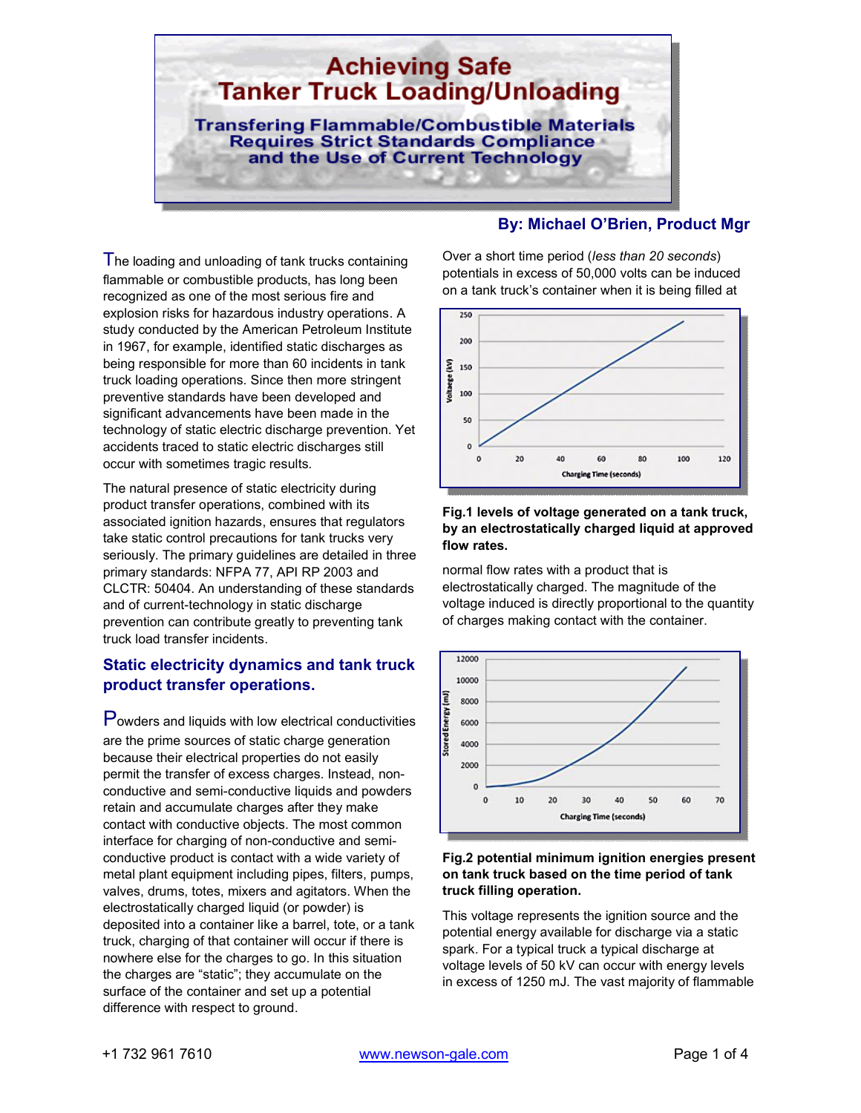

#### The loading and unloading of tank trucks containing flammable or combustible products, has long been recognized as one of the most serious fire and explosion risks for hazardous industry operations. A study conducted by the American Petroleum Institute in 1967, for example, identified static discharges as being responsible for more than 60 incidents in tank truck loading operations. Since then more stringent preventive standards have been developed and significant advancements have been made in the technology of static electric discharge prevention. Yet accidents traced to static electric discharges still occur with sometimes tragic results.

The natural presence of static electricity during product transfer operations, combined with its associated ignition hazards, ensures that regulators take static control precautions for tank trucks very seriously. The primary guidelines are detailed in three primary standards: NFPA 77, API RP 2003 and CLCTR: 50404. An understanding of these standards and of current-technology in static discharge prevention can contribute greatly to preventing tank truck load transfer incidents.

# **Static electricity dynamics and tank truck product transfer operations.**

Powders and liquids with low electrical conductivities are the prime sources of static charge generation because their electrical properties do not easily permit the transfer of excess charges. Instead, nonconductive and semi-conductive liquids and powders retain and accumulate charges after they make contact with conductive objects. The most common interface for charging of non-conductive and semiconductive product is contact with a wide variety of metal plant equipment including pipes, filters, pumps, valves, drums, totes, mixers and agitators. When the electrostatically charged liquid (or powder) is deposited into a container like a barrel, tote, or a tank truck, charging of that container will occur if there is nowhere else for the charges to go. In this situation the charges are "static"; they accumulate on the surface of the container and set up a potential difference with respect to ground.

# **By: Michael O'Brien, Product Mgr**

Over a short time period (*less than 20 seconds*) potentials in excess of 50,000 volts can be induced on a tank truck's container when it is being filled at



### **Fig.1 levels of voltage generated on a tank truck, by an electrostatically charged liquid at approved flow rates.**

normal flow rates with a product that is electrostatically charged. The magnitude of the voltage induced is directly proportional to the quantity of charges making contact with the container.



#### **Fig.2 potential minimum ignition energies present on tank truck based on the time period of tank truck filling operation.**

This voltage represents the ignition source and the potential energy available for discharge via a static spark. For a typical truck a typical discharge at voltage levels of 50 kV can occur with energy levels in excess of 1250 mJ. The vast majority of flammable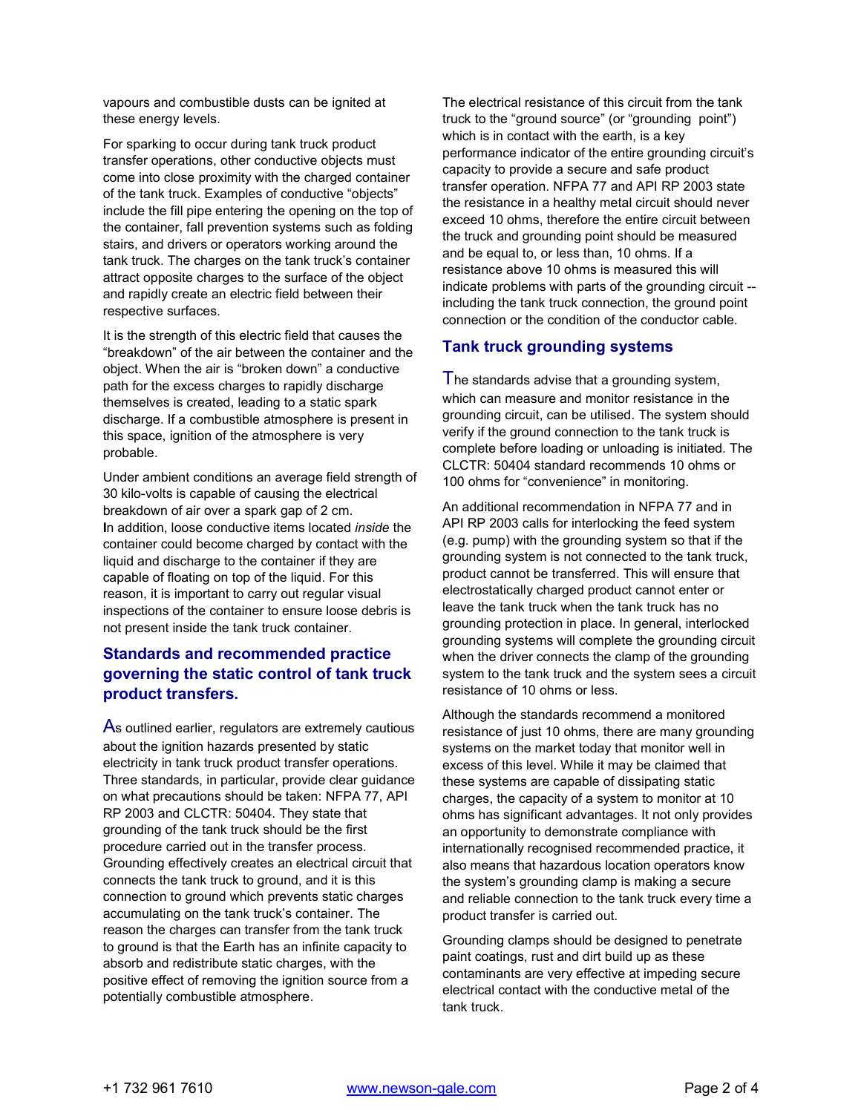vapours and combustible dusts can be ignited at these energy levels.

For sparking to occur during tank truck product transfer operations, other conductive objects must come into close proximity with the charged container of the tank truck. Examples of conductive "objects" include the fill pipe entering the opening on the top of the container, fall prevention systems such as folding stairs, and drivers or operators working around the tank truck. The charges on the tank truck's container attract opposite charges to the surface of the object and rapidly create an electric field between their respective surfaces.

It is the strength of this electric field that causes the "breakdown" of the air between the container and the object. When the air is "broken down" a conductive path for the excess charges to rapidly discharge themselves is created, leading to a static spark discharge. If a combustible atmosphere is present in this space, ignition of the atmosphere is very probable.

Under ambient conditions an average field strength of 30 kilo-volts is capable of causing the electrical breakdown of air over a spark gap of 2 cm. **I**n addition, loose conductive items located *inside* the container could become charged by contact with the liquid and discharge to the container if they are capable of floating on top of the liquid. For this reason, it is important to carry out regular visual inspections of the container to ensure loose debris is not present inside the tank truck container.

## **Standards and recommended practice governing the static control of tank truck product transfers.**

As outlined earlier, regulators are extremely cautious about the ignition hazards presented by static electricity in tank truck product transfer operations. Three standards, in particular, provide clear guidance on what precautions should be taken: NFPA 77, API RP 2003 and CLCTR: 50404. They state that grounding of the tank truck should be the first procedure carried out in the transfer process. Grounding effectively creates an electrical circuit that connects the tank truck to ground, and it is this connection to ground which prevents static charges accumulating on the tank truck's container. The reason the charges can transfer from the tank truck to ground is that the Earth has an infinite capacity to absorb and redistribute static charges, with the positive effect of removing the ignition source from a potentially combustible atmosphere.

The electrical resistance of this circuit from the tank truck to the "ground source" (or "grounding point") which is in contact with the earth, is a key performance indicator of the entire grounding circuit's capacity to provide a secure and safe product transfer operation. NFPA 77 and API RP 2003 state the resistance in a healthy metal circuit should never exceed 10 ohms, therefore the entire circuit between the truck and grounding point should be measured and be equal to, or less than, 10 ohms. If a resistance above 10 ohms is measured this will indicate problems with parts of the grounding circuit - including the tank truck connection, the ground point connection or the condition of the conductor cable.

### **Tank truck grounding systems**

The standards advise that a grounding system, which can measure and monitor resistance in the grounding circuit, can be utilised. The system should verify if the ground connection to the tank truck is complete before loading or unloading is initiated. The CLCTR: 50404 standard recommends 10 ohms or 100 ohms for "convenience" in monitoring.

An additional recommendation in NFPA 77 and in API RP 2003 calls for interlocking the feed system (e.g. pump) with the grounding system so that if the grounding system is not connected to the tank truck, product cannot be transferred. This will ensure that electrostatically charged product cannot enter or leave the tank truck when the tank truck has no grounding protection in place. In general, interlocked grounding systems will complete the grounding circuit when the driver connects the clamp of the grounding system to the tank truck and the system sees a circuit resistance of 10 ohms or less.

Although the standards recommend a monitored resistance of just 10 ohms, there are many grounding systems on the market today that monitor well in excess of this level. While it may be claimed that these systems are capable of dissipating static charges, the capacity of a system to monitor at 10 ohms has significant advantages. It not only provides an opportunity to demonstrate compliance with internationally recognised recommended practice, it also means that hazardous location operators know the system's grounding clamp is making a secure and reliable connection to the tank truck every time a product transfer is carried out.

Grounding clamps should be designed to penetrate paint coatings, rust and dirt build up as these contaminants are very effective at impeding secure electrical contact with the conductive metal of the tank truck.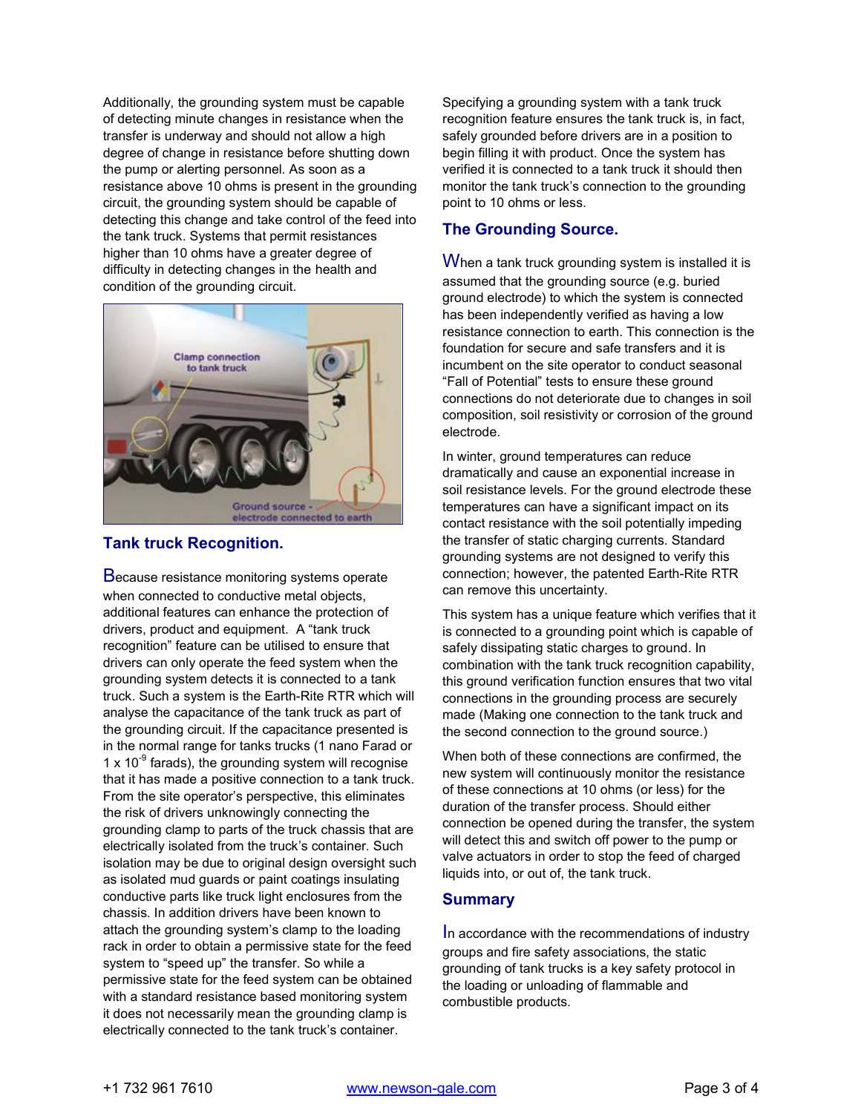Additionally, the grounding system must be capable of detecting minute changes in resistance when the transfer is underway and should not allow a high degree of change in resistance before shutting down the pump or alerting personnel. As soon as a resistance above 10 ohms is present in the grounding circuit, the grounding system should be capable of detecting this change and take control of the feed into the tank truck. Systems that permit resistances higher than 10 ohms have a greater degree of difficulty in detecting changes in the health and condition of the grounding circuit.



### **Tank truck Recognition.**

Because resistance monitoring systems operate when connected to conductive metal objects, additional features can enhance the protection of drivers, product and equipment. A "tank truck recognition" feature can be utilised to ensure that drivers can only operate the feed system when the grounding system detects it is connected to a tank truck. Such a system is the Earth-Rite RTR which will analyse the capacitance of the tank truck as part of the grounding circuit. If the capacitance presented is in the normal range for tanks trucks (1 nano Farad or 1 x  $10^{-9}$  farads), the grounding system will recognise that it has made a positive connection to a tank truck. From the site operator's perspective, this eliminates the risk of drivers unknowingly connecting the grounding clamp to parts of the truck chassis that are electrically isolated from the truck's container. Such isolation may be due to original design oversight such as isolated mud guards or paint coatings insulating conductive parts like truck light enclosures from the chassis. In addition drivers have been known to attach the grounding system's clamp to the loading rack in order to obtain a permissive state for the feed system to "speed up" the transfer. So while a permissive state for the feed system can be obtained with a standard resistance based monitoring system it does not necessarily mean the grounding clamp is electrically connected to the tank truck's container.

Specifying a grounding system with a tank truck recognition feature ensures the tank truck is, in fact, safely grounded before drivers are in a position to begin filling it with product. Once the system has verified it is connected to a tank truck it should then monitor the tank truck's connection to the grounding point to 10 ohms or less.

## **The Grounding Source.**

When a tank truck grounding system is installed it is assumed that the grounding source (e.g. buried ground electrode) to which the system is connected has been independently verified as having a low resistance connection to earth. This connection is the foundation for secure and safe transfers and it is incumbent on the site operator to conduct seasonal "Fall of Potential" tests to ensure these ground connections do not deteriorate due to changes in soil composition, soil resistivity or corrosion of the ground electrode.

In winter, ground temperatures can reduce dramatically and cause an exponential increase in soil resistance levels. For the ground electrode these temperatures can have a significant impact on its contact resistance with the soil potentially impeding the transfer of static charging currents. Standard grounding systems are not designed to verify this connection; however, the patented Earth-Rite RTR can remove this uncertainty.

This system has a unique feature which verifies that it is connected to a grounding point which is capable of safely dissipating static charges to ground. In combination with the tank truck recognition capability, this ground verification function ensures that two vital connections in the grounding process are securely made (Making one connection to the tank truck and the second connection to the ground source.)

When both of these connections are confirmed, the new system will continuously monitor the resistance of these connections at 10 ohms (or less) for the duration of the transfer process. Should either connection be opened during the transfer, the system will detect this and switch off power to the pump or valve actuators in order to stop the feed of charged liquids into, or out of, the tank truck.

### **Summary**

In accordance with the recommendations of industry groups and fire safety associations, the static grounding of tank trucks is a key safety protocol in the loading or unloading of flammable and combustible products.